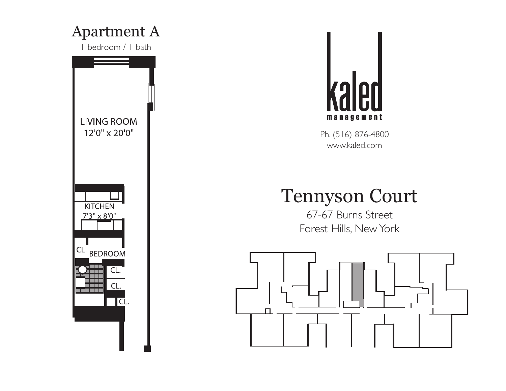



# Tennyson Court

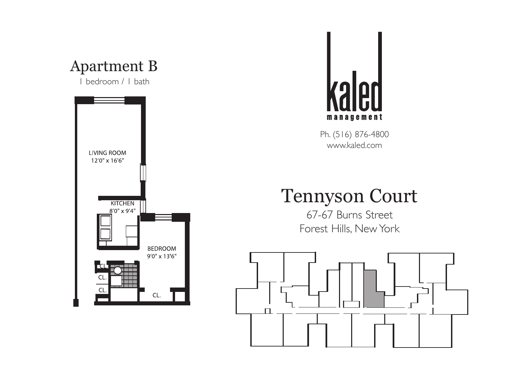



### Tennyson Court

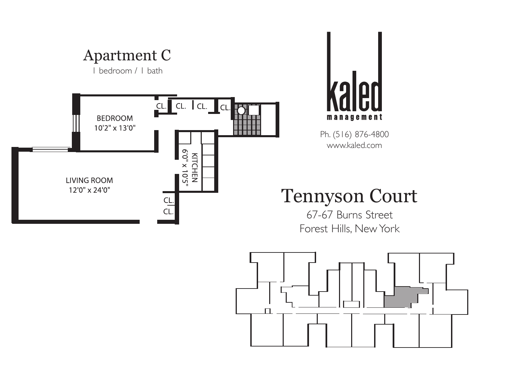



# Tennyson Court

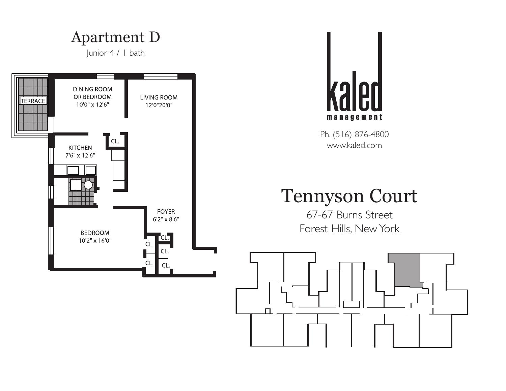



### Tennyson Court

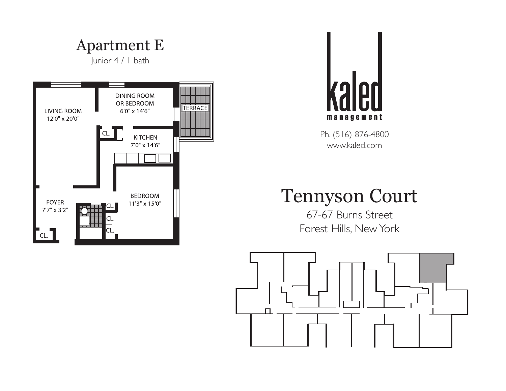Apartment E

Junior 4 / 1 bath





Ph. (516) 876-4800 www.kaled.com

#### Tennyson Court

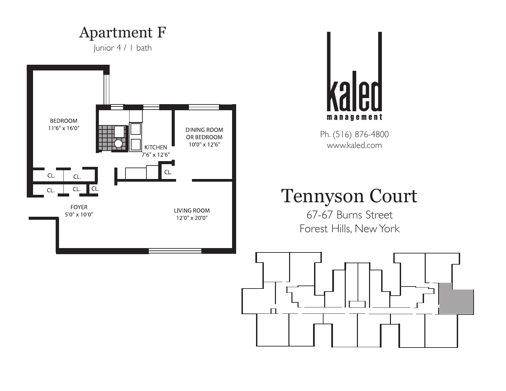#### Apartment F

Junior 4 / 1 bath





Ph. (516) 876-4800 www.kaled.com

# Tennyson Court

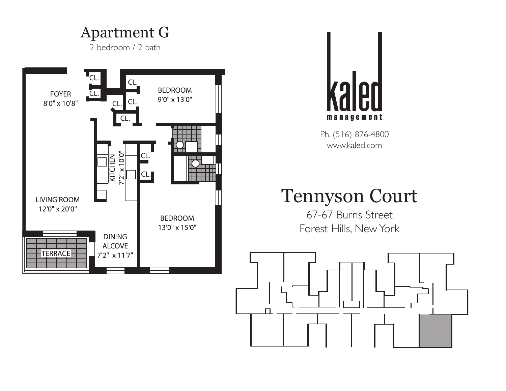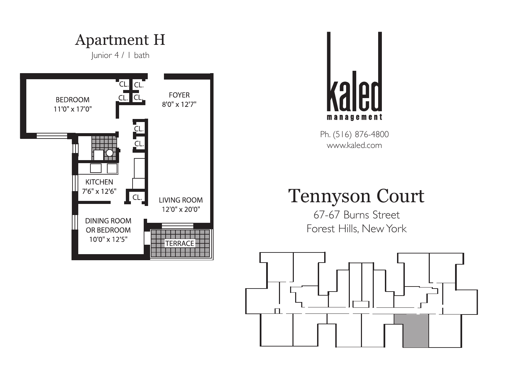



### Tennyson Court

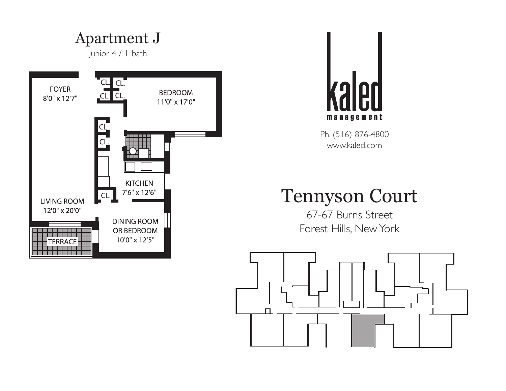Apartment J

Junior 4 / 1 bath





Ph. (516) 876-4800 www.kaled.com

### Tennyson Court

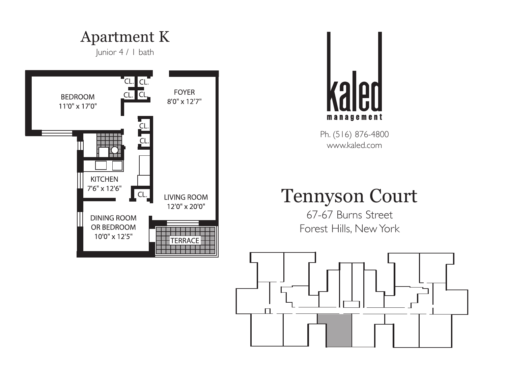



## Tennyson Court

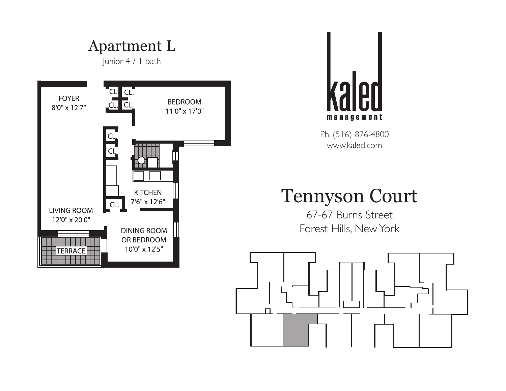



## Tennyson Court

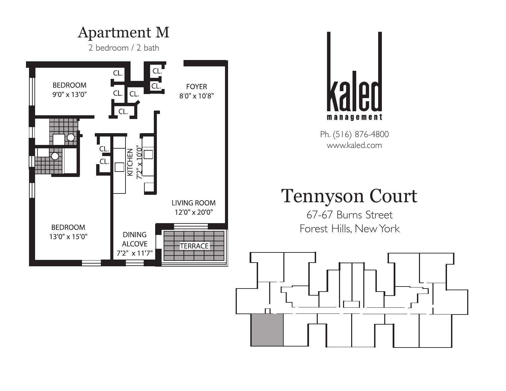



# Tennyson Court

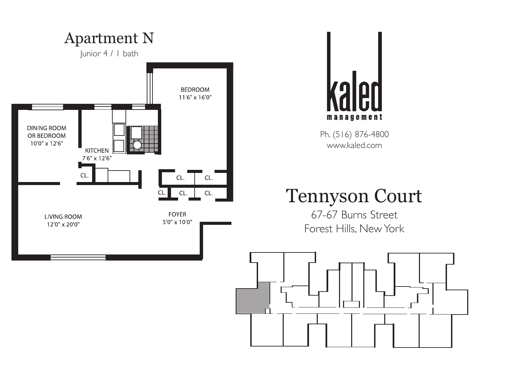

**79** management

Ph. (516) 876-4800 www.kaled.com

# Tennyson Court

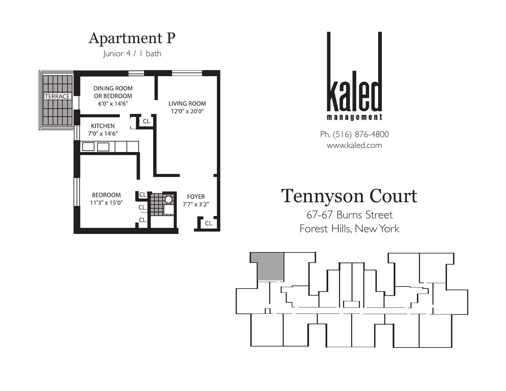



#### Tennyson Court

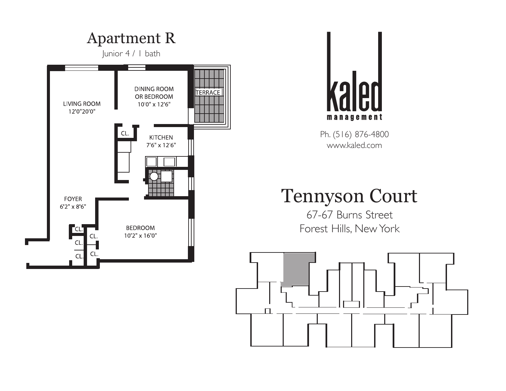



### Tennyson Court

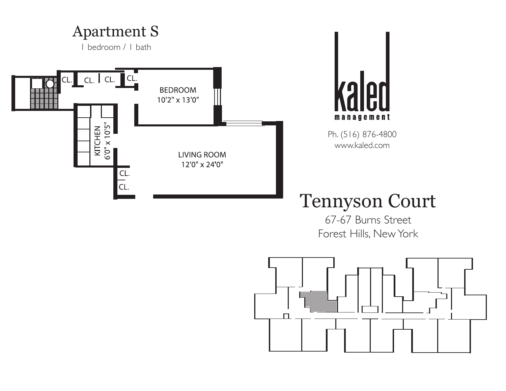



# Tennyson Court

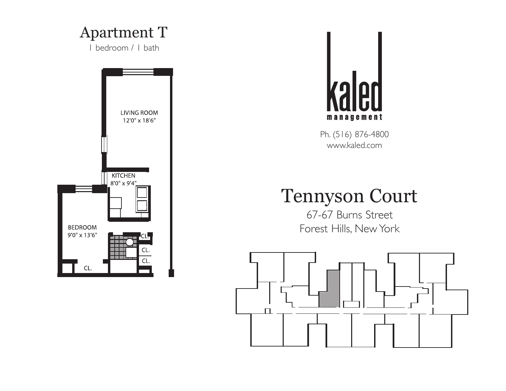#### Apartment T

1 bedroom / 1 bath





Ph. (516) 876-4800 www.kaled.com

### Tennyson Court